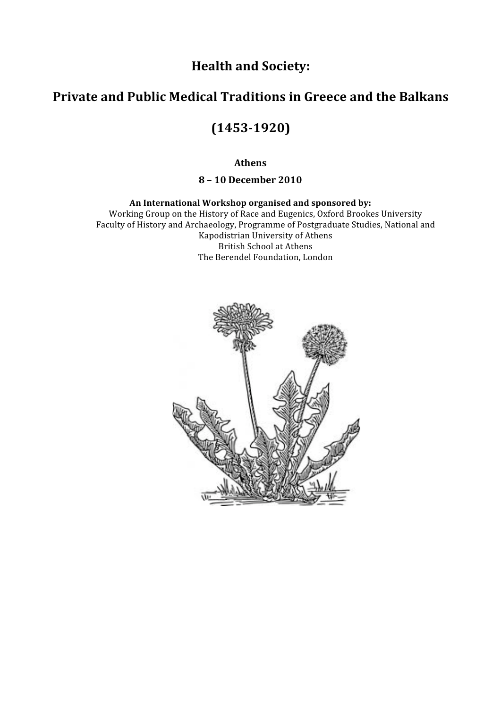

# **Private
and
Public
Medical
Traditions
in
Greece
and
the
Balkans**

# **(14531920)**

**Athens**

**8
–
10
December
2010**

#### **An
International
Workshop
organised
and
sponsored
by:**

Working
Group
on
the
History
of
Race
and
Eugenics,
Oxford
Brookes
University Faculty
of
History
and
Archaeology,
Programme
of
Postgraduate
Studies,
National
and Kapodistrian
University
of
Athens British
School
at
Athens The
Berendel
Foundation,
London

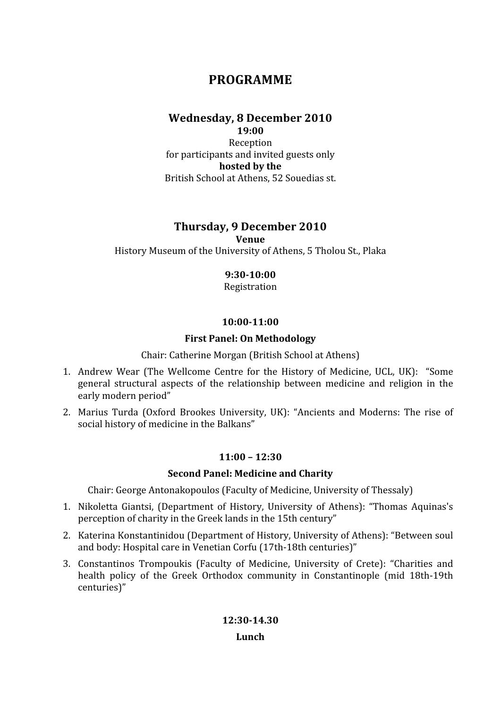# **PROGRAMME**

## **Wednesday,
8
December
2010**

**19:00**  Reception for
participants
and
invited
guests
only **hosted
by
the**  British
School
at
Athens,
52
Souedias
st.

### **Thursday,
9
December
2010**

**Venue**

History Museum of the University of Athens, 5 Tholou St., Plaka

#### **9:3010:00**

Registration

#### **10:0011:00**

#### **First
Panel:
On
Methodology**

Chair:
Catherine
Morgan
(British
School
at
Athens)

- 1. Andrew Wear (The Wellcome Centre for the History of Medicine, UCL, UK): "Some general
 structural
 aspects
 of
 the
 relationship
 between
 medicine
 and
 religion
 in
 the early
modern
period"
- 2. Marius Turda (Oxford Brookes University, UK): "Ancients and Moderns: The rise of social history of medicine in the Balkans"

#### **11:00
–
12:30**

#### **Second
Panel:
Medicine
and
Charity**

Chair:
George
Antonakopoulos
(Faculty
of
Medicine,
University
of
Thessaly)

- 1. Nikoletta Giantsi, (Department of History, University of Athens): "Thomas Aquinas's perception
of
charity
in
the
Greek
lands
in
the
15th
century"
- 2. Katerina
Konstantinidou
(Department
of
History,
University
of
Athens):
"Between
soul and
body:
Hospital
care
in
Venetian
Corfu
(17th‐18th
centuries)"
- 3. Constantinos Trompoukis (Faculty of Medicine, University of Crete): "Charities and health policy of the Greek Orthodox community in Constantinople (mid 18th-19th centuries)"

**12:3014.30 Lunch**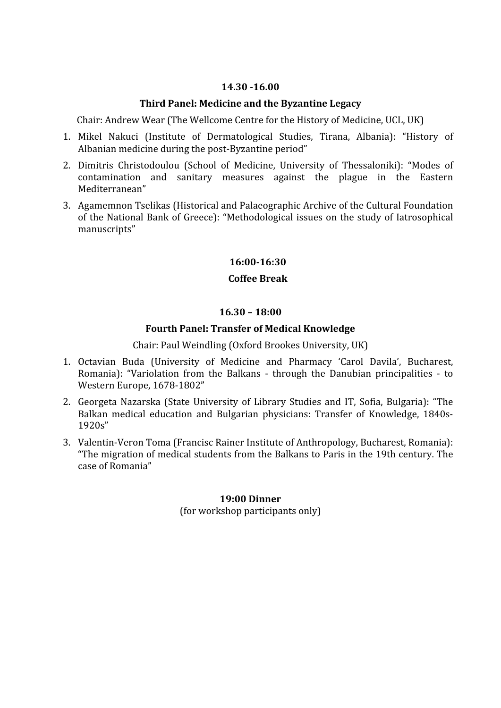#### **14.30
16.00**

#### **Third
Panel:
Medicine
and
the
Byzantine
Legacy**

Chair: Andrew Wear (The Wellcome Centre for the History of Medicine, UCL, UK)

- 1. Mikel
 Nakuci
 (Institute
 of
 Dermatological
 Studies,
 Tirana,
 Albania):
 "History
 of Albanian
medicine
during
the
post‐Byzantine
period"
- 2. Dimitris Christodoulou (School of Medicine, University of Thessaloniki): "Modes of contamination
 and
 sanitary
 measures
 against
 the
 plague
 in
 the
 Eastern Mediterranean"
- 3. Agamemnon
Tselikas
(Historical
and
Palaeographic
Archive
of
the
Cultural
Foundation of
 the
National
Bank
of
Greece):
 "Methodological
issues
on
 the
study
of
 Iatrosophical manuscripts"

#### **16:0016:30**

#### **Coffee
Break**

#### **16.30
–
18:00**

#### **Fourth
Panel:
Transfer
of
Medical
Knowledge**

Chair:
Paul
Weindling
(Oxford
Brookes
University,
UK)

- 1. Octavian
 Buda
 (University
 of
 Medicine
 and
 Pharmacy
 'Carol
 Davila',
 Bucharest, Romania): "Variolation from the Balkans - through the Danubian principalities - to Western
Europe,
1678‐1802"
- 2. Georgeta Nazarska (State University of Library Studies and IT, Sofia, Bulgaria): "The Balkan medical education and Bulgarian physicians: Transfer of Knowledge, 1840s-1920s"
- 3. Valentin‐Veron
Toma
(Francisc
Rainer
Institute
of
Anthropology,
Bucharest,
Romania): "The migration of medical students from the Balkans to Paris in the 19th century. The case
of
Romania"

#### **19:00
Dinner**

(for
workshop
participants
only)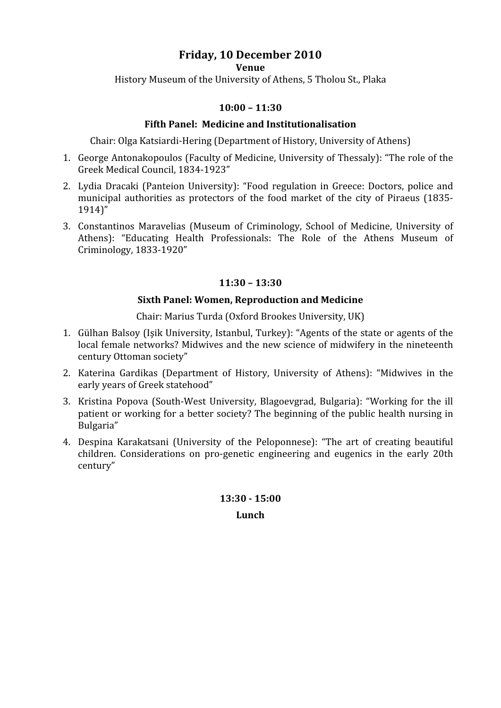## **Friday,
10
December
2010**

**Venue**

History
Museum
of
the
University
of
Athens,
5
Tholou
St.,
Plaka

#### **10:00
–
11:30**

#### **Fifth
Panel:

Medicine
and
Institutionalisation**

Chair:
Olga
Katsiardi‐Hering
(Department
of
History,
University
of
Athens)

- 1. George Antonakopoulos (Faculty of Medicine, University of Thessaly): "The role of the Greek
Medical
Council,
1834‐1923"
- 2. Lydia Dracaki (Panteion University): "Food regulation in Greece: Doctors, police and municipal authorities as protectors of the food market of the city of Piraeus (1835-1914)"
- 3. Constantinos
 Maravelias
 (Museum
 of
 Criminology,
 School
 of
 Medicine,
 University
 of Athens): "Educating Health Professionals: The Role of the Athens Museum of Criminology,
1833‐1920"

#### **11:30
–
13:30**

#### **Sixth
Panel:
Women,
Reproduction
and
Medicine**

Chair:
Marius
Turda
(Oxford
Brookes
University,
UK)

- 1. Gülhan Balsoy (Isik University, Istanbul, Turkey): "Agents of the state or agents of the local female networks? Midwives and the new science of midwifery in the nineteenth century
Ottoman
society"
- 2. Katerina Gardikas (Department of History, University of Athens): "Midwives in the early
years
of
Greek
statehood"
- 3. Kristina
 Popova
 (South‐West
 University,
 Blagoevgrad,
 Bulgaria):
 "Working
 for
 the
 ill patient or working for a better society? The beginning of the public health nursing in Bulgaria"
- 4. Despina
 Karakatsani
 (University
 of
 the
 Peloponnese):
 "The
 art
 of
 creating
 beautiful children. Considerations on pro-genetic engineering and eugenics in the early 20th century"

**13:30

15:00 Lunch**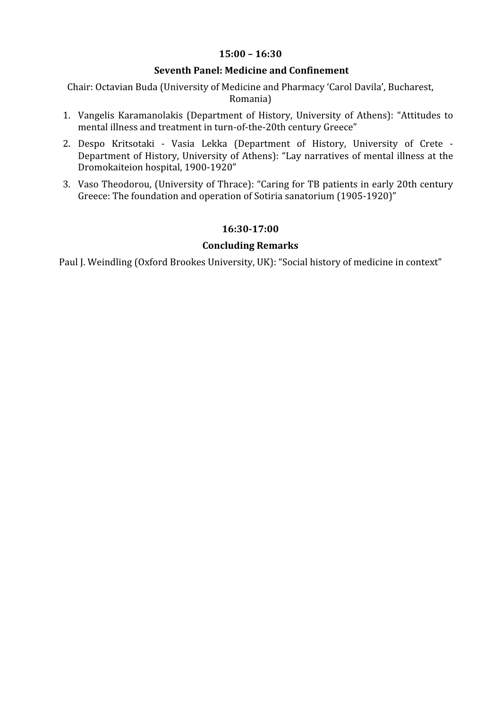#### **15:00
–
16:30**

#### **Seventh
Panel:
Medicine
and
Confinement**

Chair:
Octavian
Buda
(University
of
Medicine
and
Pharmacy
'Carol
Davila',
Bucharest, Romania)

- 1. Vangelis Karamanolakis (Department of History, University of Athens): "Attitudes to mental
illness
and
treatment
in
turn‐of‐the‐20th
century
Greece"
- 2. Despo Kritsotaki Vasia Lekka (Department of History, University of Crete -Department of History, University of Athens): "Lay narratives of mental illness at the Dromokaiteion
hospital,
1900‐1920"
- 3. Vaso
Theodorou,
(University
of
Thrace):
"Caring
for
TB
patients
in
early
20th
century Greece:
The
foundation
and
operation
of
Sotiria
sanatorium
(1905‐1920)"

#### **16:3017:00**

#### **Concluding
Remarks**

Paul J. Weindling (Oxford Brookes University, UK): "Social history of medicine in context"